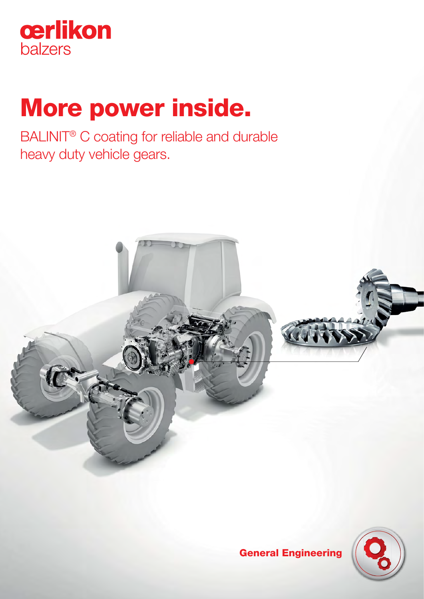

# More power inside.

BALINIT® C coating for reliable and durable heavy duty vehicle gears.